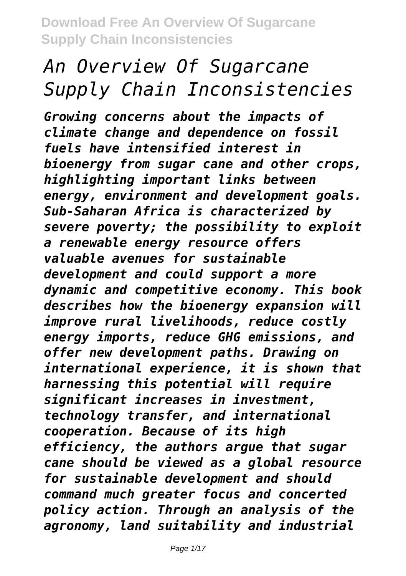# *An Overview Of Sugarcane Supply Chain Inconsistencies*

*Growing concerns about the impacts of climate change and dependence on fossil fuels have intensified interest in bioenergy from sugar cane and other crops, highlighting important links between energy, environment and development goals. Sub-Saharan Africa is characterized by severe poverty; the possibility to exploit a renewable energy resource offers valuable avenues for sustainable development and could support a more dynamic and competitive economy. This book describes how the bioenergy expansion will improve rural livelihoods, reduce costly energy imports, reduce GHG emissions, and offer new development paths. Drawing on international experience, it is shown that harnessing this potential will require significant increases in investment, technology transfer, and international cooperation. Because of its high efficiency, the authors argue that sugar cane should be viewed as a global resource for sustainable development and should command much greater focus and concerted policy action. Through an analysis of the agronomy, land suitability and industrial*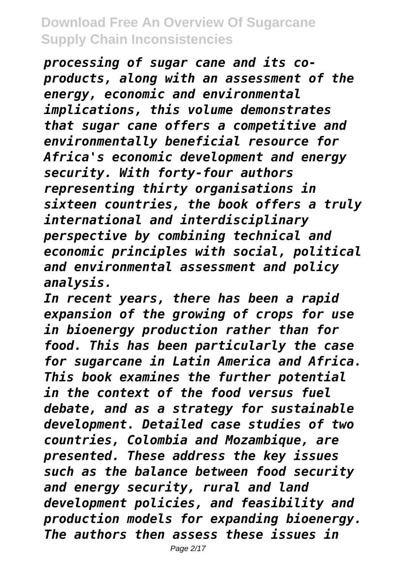*processing of sugar cane and its coproducts, along with an assessment of the energy, economic and environmental implications, this volume demonstrates that sugar cane offers a competitive and environmentally beneficial resource for Africa's economic development and energy security. With forty-four authors representing thirty organisations in sixteen countries, the book offers a truly international and interdisciplinary perspective by combining technical and economic principles with social, political and environmental assessment and policy analysis.*

*In recent years, there has been a rapid expansion of the growing of crops for use in bioenergy production rather than for food. This has been particularly the case for sugarcane in Latin America and Africa. This book examines the further potential in the context of the food versus fuel debate, and as a strategy for sustainable development. Detailed case studies of two countries, Colombia and Mozambique, are presented. These address the key issues such as the balance between food security and energy security, rural and land development policies, and feasibility and production models for expanding bioenergy. The authors then assess these issues in*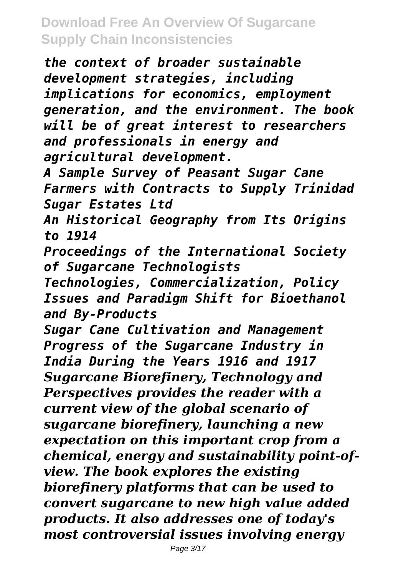*the context of broader sustainable development strategies, including implications for economics, employment generation, and the environment. The book will be of great interest to researchers and professionals in energy and agricultural development.*

*A Sample Survey of Peasant Sugar Cane Farmers with Contracts to Supply Trinidad Sugar Estates Ltd*

*An Historical Geography from Its Origins to 1914*

*Proceedings of the International Society of Sugarcane Technologists*

*Technologies, Commercialization, Policy Issues and Paradigm Shift for Bioethanol and By-Products*

*Sugar Cane Cultivation and Management Progress of the Sugarcane Industry in India During the Years 1916 and 1917 Sugarcane Biorefinery, Technology and Perspectives provides the reader with a current view of the global scenario of sugarcane biorefinery, launching a new expectation on this important crop from a chemical, energy and sustainability point-ofview. The book explores the existing biorefinery platforms that can be used to convert sugarcane to new high value added products. It also addresses one of today's most controversial issues involving energy*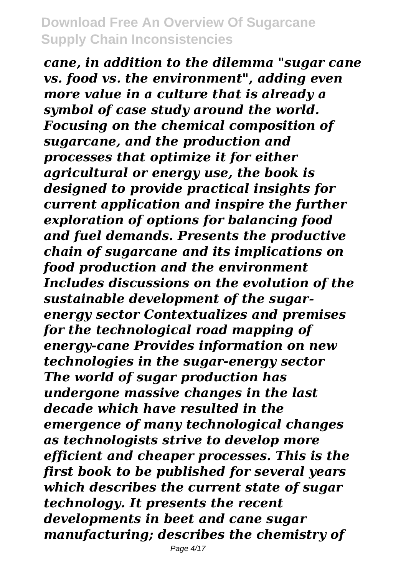*cane, in addition to the dilemma "sugar cane vs. food vs. the environment", adding even more value in a culture that is already a symbol of case study around the world. Focusing on the chemical composition of sugarcane, and the production and processes that optimize it for either agricultural or energy use, the book is designed to provide practical insights for current application and inspire the further exploration of options for balancing food and fuel demands. Presents the productive chain of sugarcane and its implications on food production and the environment Includes discussions on the evolution of the sustainable development of the sugarenergy sector Contextualizes and premises for the technological road mapping of energy-cane Provides information on new technologies in the sugar-energy sector The world of sugar production has undergone massive changes in the last decade which have resulted in the emergence of many technological changes as technologists strive to develop more efficient and cheaper processes. This is the first book to be published for several years which describes the current state of sugar technology. It presents the recent developments in beet and cane sugar manufacturing; describes the chemistry of*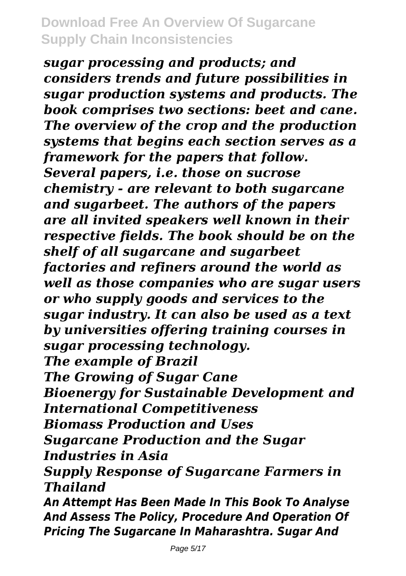*sugar processing and products; and considers trends and future possibilities in sugar production systems and products. The book comprises two sections: beet and cane. The overview of the crop and the production systems that begins each section serves as a framework for the papers that follow. Several papers, i.e. those on sucrose chemistry - are relevant to both sugarcane and sugarbeet. The authors of the papers are all invited speakers well known in their respective fields. The book should be on the shelf of all sugarcane and sugarbeet factories and refiners around the world as well as those companies who are sugar users or who supply goods and services to the sugar industry. It can also be used as a text by universities offering training courses in sugar processing technology. The example of Brazil The Growing of Sugar Cane Bioenergy for Sustainable Development and International Competitiveness Biomass Production and Uses Sugarcane Production and the Sugar Industries in Asia Supply Response of Sugarcane Farmers in Thailand An Attempt Has Been Made In This Book To Analyse And Assess The Policy, Procedure And Operation Of Pricing The Sugarcane In Maharashtra. Sugar And*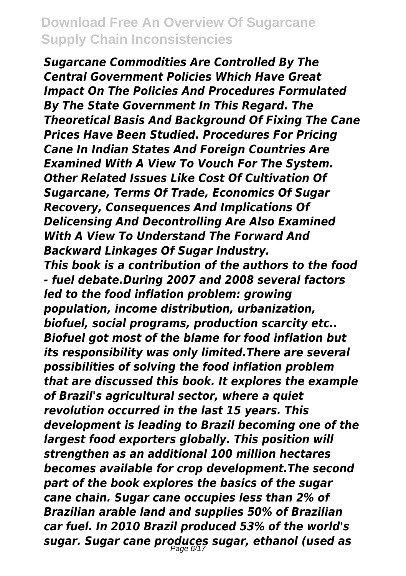*Sugarcane Commodities Are Controlled By The Central Government Policies Which Have Great Impact On The Policies And Procedures Formulated By The State Government In This Regard. The Theoretical Basis And Background Of Fixing The Cane Prices Have Been Studied. Procedures For Pricing Cane In Indian States And Foreign Countries Are Examined With A View To Vouch For The System. Other Related Issues Like Cost Of Cultivation Of Sugarcane, Terms Of Trade, Economics Of Sugar Recovery, Consequences And Implications Of Delicensing And Decontrolling Are Also Examined With A View To Understand The Forward And Backward Linkages Of Sugar Industry. This book is a contribution of the authors to the food - fuel debate.During 2007 and 2008 several factors led to the food inflation problem: growing population, income distribution, urbanization, biofuel, social programs, production scarcity etc.. Biofuel got most of the blame for food inflation but its responsibility was only limited.There are several possibilities of solving the food inflation problem that are discussed this book. It explores the example of Brazil's agricultural sector, where a quiet revolution occurred in the last 15 years. This development is leading to Brazil becoming one of the largest food exporters globally. This position will strengthen as an additional 100 million hectares becomes available for crop development.The second part of the book explores the basics of the sugar cane chain. Sugar cane occupies less than 2% of Brazilian arable land and supplies 50% of Brazilian car fuel. In 2010 Brazil produced 53% of the world's sugar. Sugar cane produces sugar, ethanol (used as* Page 6/17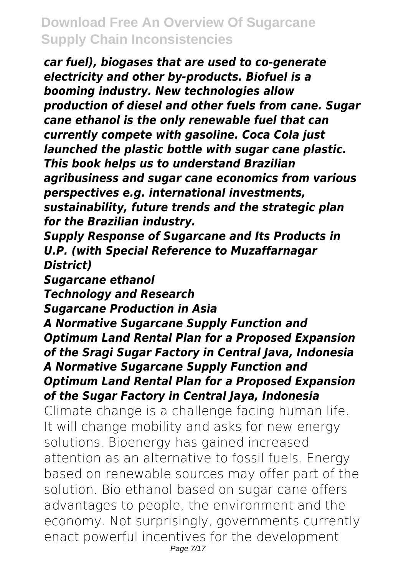*car fuel), biogases that are used to co-generate electricity and other by-products. Biofuel is a booming industry. New technologies allow production of diesel and other fuels from cane. Sugar cane ethanol is the only renewable fuel that can currently compete with gasoline. Coca Cola just launched the plastic bottle with sugar cane plastic. This book helps us to understand Brazilian agribusiness and sugar cane economics from various perspectives e.g. international investments, sustainability, future trends and the strategic plan for the Brazilian industry. Supply Response of Sugarcane and Its Products in U.P. (with Special Reference to Muzaffarnagar District) Sugarcane ethanol Technology and Research Sugarcane Production in Asia A Normative Sugarcane Supply Function and Optimum Land Rental Plan for a Proposed Expansion of the Sragi Sugar Factory in Central Java, Indonesia A Normative Sugarcane Supply Function and Optimum Land Rental Plan for a Proposed Expansion of the Sugar Factory in Central Jaya, Indonesia* Climate change is a challenge facing human life. It will change mobility and asks for new energy solutions. Bioenergy has gained increased attention as an alternative to fossil fuels. Energy based on renewable sources may offer part of the solution. Bio ethanol based on sugar cane offers advantages to people, the environment and the economy. Not surprisingly, governments currently enact powerful incentives for the development Page 7/17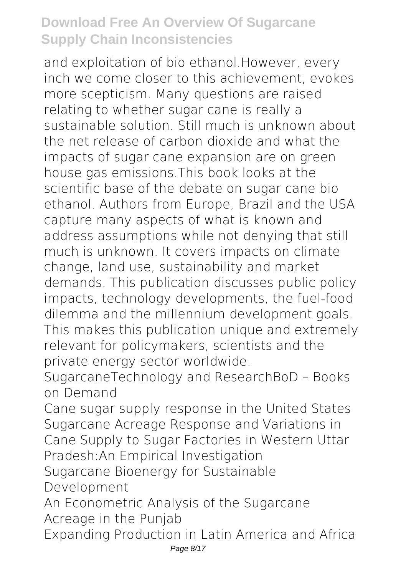and exploitation of bio ethanol.However, every inch we come closer to this achievement, evokes more scepticism. Many questions are raised relating to whether sugar cane is really a sustainable solution. Still much is unknown about the net release of carbon dioxide and what the impacts of sugar cane expansion are on green house gas emissions.This book looks at the scientific base of the debate on sugar cane bio ethanol. Authors from Europe, Brazil and the USA capture many aspects of what is known and address assumptions while not denying that still much is unknown. It covers impacts on climate change, land use, sustainability and market demands. This publication discusses public policy impacts, technology developments, the fuel-food dilemma and the millennium development goals. This makes this publication unique and extremely relevant for policymakers, scientists and the private energy sector worldwide.

SugarcaneTechnology and ResearchBoD – Books on Demand

Cane sugar supply response in the United States Sugarcane Acreage Response and Variations in Cane Supply to Sugar Factories in Western Uttar Pradesh:An Empirical Investigation

Sugarcane Bioenergy for Sustainable Development

An Econometric Analysis of the Sugarcane Acreage in the Punjab

Expanding Production in Latin America and Africa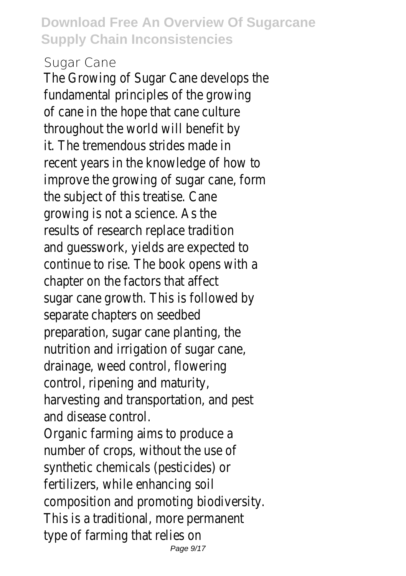#### Sugar Cane

The Growing of Sugar Cane develops the fundamental principles of the growing of cane in the hope that cane culture throughout the world will benefit by it. The tremendous strides made in recent years in the knowledge of how to improve the growing of sugar cane, form the subject of this treatise. Cane growing is not a science. As the results of research replace tradition and guesswork, yields are expected to continue to rise. The book opens with a chapter on the factors that affect sugar cane growth. This is followed by separate chapters on seedbed preparation, sugar cane planting, the nutrition and irrigation of sugar cane, drainage, weed control, flowering control, ripening and maturity, harvesting and transportation, and pest and disease control. Organic farming aims to produce a number of crops, without the use of synthetic chemicals (pesticides) or fertilizers, while enhancing soil composition and promoting biodiversity. This is a traditional, more permanent type of farming that relies on Page 9/17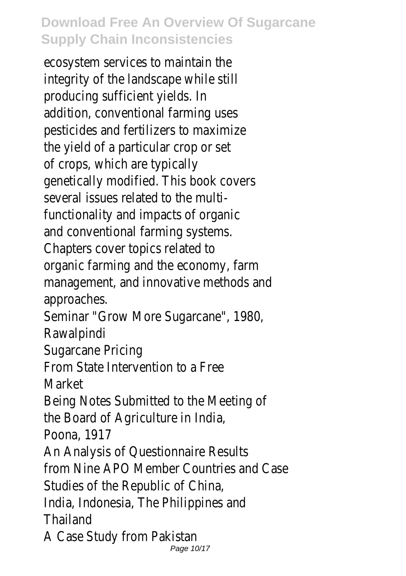ecosystem services to maintain the integrity of the landscape while still producing sufficient yields. In addition, conventional farming uses pesticides and fertilizers to maximize the yield of a particular crop or set of crops, which are typically genetically modified. This book covers several issues related to the multifunctionality and impacts of organic and conventional farming systems. Chapters cover topics related to organic farming and the economy, farm management, and innovative methods and approaches. Seminar "Grow More Sugarcane", 1980, Rawalpindi Sugarcane Pricing From State Intervention to a Free Market Being Notes Submitted to the Meeting of the Board of Agriculture in India, Poona, 1917 An Analysis of Questionnaire Results from Nine APO Member Countries and Case Studies of the Republic of China,

India, Indonesia, The Philippines and Thailand

A Case Study from Pakistan

Page 10/17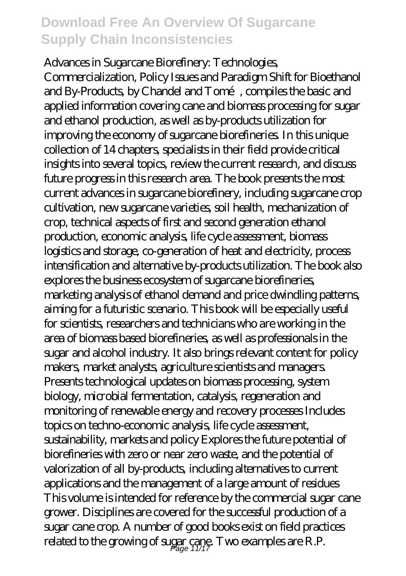Advances in Sugarcane Biorefinery: Technologies, Commercialization, Policy Issues and Paradigm Shift for Bioethanol and By-Products, by Chandel and Tomé, compiles the basic and applied information covering cane and biomass processing for sugar and ethanol production, as well as by-products utilization for improving the economy of sugarcane biorefineries. In this unique collection of 14 chapters, specialists in their field provide critical insights into several topics, review the current research, and discuss future progress in this research area. The book presents the most current advances in sugarcane biorefinery, including sugarcane crop cultivation, new sugarcane varieties, soil health, mechanization of crop, technical aspects of first and second generation ethanol production, economic analysis, life cycle assessment, biomass logistics and storage, co-generation of heat and electricity, process intensification and alternative by-products utilization. The book also explores the business ecosystem of sugarcane biorefineries, marketing analysis of ethanol demand and price dwindling patterns, aiming for a futuristic scenario. This book will be especially useful for scientists, researchers and technicians who are working in the area of biomass based biorefineries, as well as professionals in the sugar and alcohol industry. It also brings relevant content for policy makers, market analysts, agriculture scientists and managers. Presents technological updates on biomass processing, system biology, microbial fermentation, catalysis, regeneration and monitoring of renewable energy and recovery processes Includes topics on techno-economic analysis, life cycle assessment, sustainability, markets and policy Explores the future potential of biorefineries with zero or near zero waste, and the potential of valorization of all by-products, including alternatives to current applications and the management of a large amount of residues This volume is intended for reference by the commercial sugar cane grower. Disciplines are covered for the successful production of a sugar cane crop. A number of good books exist on field practices related to the growing of sugar cane. Two examples are R.P.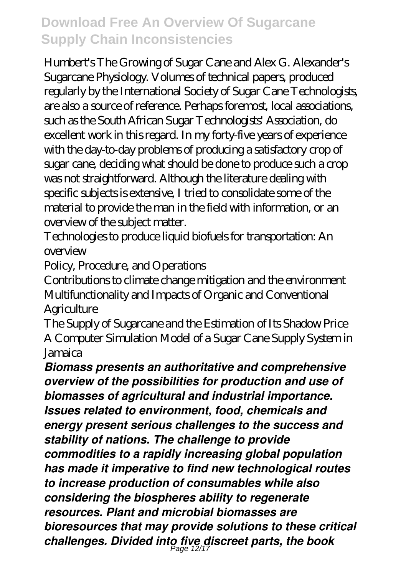Humbert's The Growing of Sugar Cane and Alex G. Alexander's Sugarcane Physiology. Volumes of technical papers, produced regularly by the International Society of Sugar Cane Technologists, are also a source of reference. Perhaps foremost, local associations, such as the South African Sugar Technologists' Association, do excellent work in this regard. In my forty-five years of experience with the day-to-day problems of producing a satisfactory crop of sugar cane, deciding what should be done to produce such a crop was not straightforward. Although the literature dealing with specific subjects is extensive, I tried to consolidate some of the material to provide the man in the field with information, or an overview of the subject matter.

Technologies to produce liquid biofuels for transportation: An  $\alpha$ *erview* 

Policy, Procedure, and Operations

Contributions to climate change mitigation and the environment Multifunctionality and Impacts of Organic and Conventional **Agriculture** 

The Supply of Sugarcane and the Estimation of Its Shadow Price A Computer Simulation Model of a Sugar Cane Supply System in Jamaica

*Biomass presents an authoritative and comprehensive overview of the possibilities for production and use of biomasses of agricultural and industrial importance. Issues related to environment, food, chemicals and energy present serious challenges to the success and stability of nations. The challenge to provide commodities to a rapidly increasing global population has made it imperative to find new technological routes to increase production of consumables while also considering the biospheres ability to regenerate resources. Plant and microbial biomasses are bioresources that may provide solutions to these critical challenges. Divided into five discreet parts, the book* Page 12/17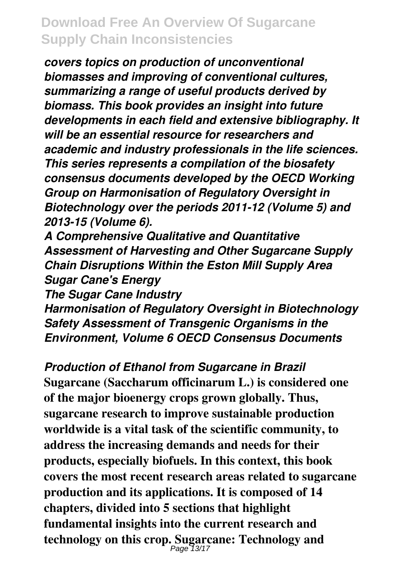*covers topics on production of unconventional biomasses and improving of conventional cultures, summarizing a range of useful products derived by biomass. This book provides an insight into future developments in each field and extensive bibliography. It will be an essential resource for researchers and academic and industry professionals in the life sciences. This series represents a compilation of the biosafety consensus documents developed by the OECD Working Group on Harmonisation of Regulatory Oversight in Biotechnology over the periods 2011-12 (Volume 5) and 2013-15 (Volume 6).*

*A Comprehensive Qualitative and Quantitative Assessment of Harvesting and Other Sugarcane Supply Chain Disruptions Within the Eston Mill Supply Area Sugar Cane's Energy*

*The Sugar Cane Industry*

*Harmonisation of Regulatory Oversight in Biotechnology Safety Assessment of Transgenic Organisms in the Environment, Volume 6 OECD Consensus Documents*

*Production of Ethanol from Sugarcane in Brazil* **Sugarcane (Saccharum officinarum L.) is considered one of the major bioenergy crops grown globally. Thus, sugarcane research to improve sustainable production worldwide is a vital task of the scientific community, to address the increasing demands and needs for their products, especially biofuels. In this context, this book covers the most recent research areas related to sugarcane production and its applications. It is composed of 14 chapters, divided into 5 sections that highlight fundamental insights into the current research and technology on this crop. Sugarcane: Technology and** Page 13/17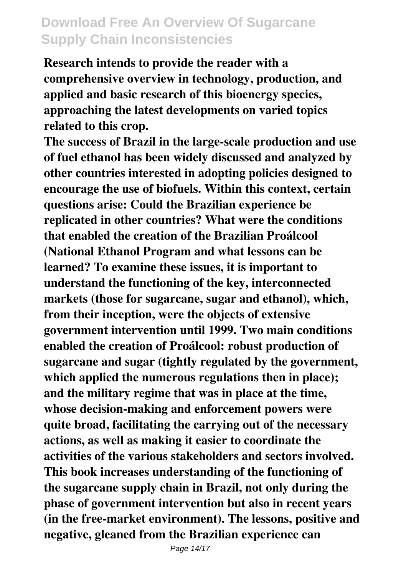**Research intends to provide the reader with a comprehensive overview in technology, production, and applied and basic research of this bioenergy species, approaching the latest developments on varied topics related to this crop.**

**The success of Brazil in the large-scale production and use of fuel ethanol has been widely discussed and analyzed by other countries interested in adopting policies designed to encourage the use of biofuels. Within this context, certain questions arise: Could the Brazilian experience be replicated in other countries? What were the conditions that enabled the creation of the Brazilian Proálcool (National Ethanol Program and what lessons can be learned? To examine these issues, it is important to understand the functioning of the key, interconnected markets (those for sugarcane, sugar and ethanol), which, from their inception, were the objects of extensive government intervention until 1999. Two main conditions enabled the creation of Proálcool: robust production of sugarcane and sugar (tightly regulated by the government, which applied the numerous regulations then in place); and the military regime that was in place at the time, whose decision-making and enforcement powers were quite broad, facilitating the carrying out of the necessary actions, as well as making it easier to coordinate the activities of the various stakeholders and sectors involved. This book increases understanding of the functioning of the sugarcane supply chain in Brazil, not only during the phase of government intervention but also in recent years (in the free-market environment). The lessons, positive and negative, gleaned from the Brazilian experience can**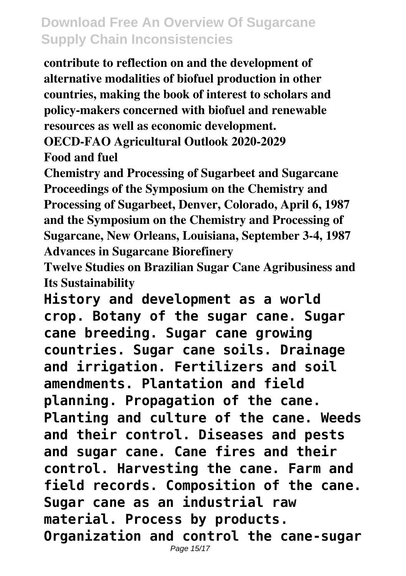**contribute to reflection on and the development of alternative modalities of biofuel production in other countries, making the book of interest to scholars and policy-makers concerned with biofuel and renewable resources as well as economic development.**

**OECD-FAO Agricultural Outlook 2020-2029 Food and fuel**

**Chemistry and Processing of Sugarbeet and Sugarcane Proceedings of the Symposium on the Chemistry and Processing of Sugarbeet, Denver, Colorado, April 6, 1987 and the Symposium on the Chemistry and Processing of Sugarcane, New Orleans, Louisiana, September 3-4, 1987 Advances in Sugarcane Biorefinery**

**Twelve Studies on Brazilian Sugar Cane Agribusiness and Its Sustainability**

**History and development as a world crop. Botany of the sugar cane. Sugar cane breeding. Sugar cane growing countries. Sugar cane soils. Drainage and irrigation. Fertilizers and soil amendments. Plantation and field planning. Propagation of the cane. Planting and culture of the cane. Weeds and their control. Diseases and pests and sugar cane. Cane fires and their control. Harvesting the cane. Farm and field records. Composition of the cane. Sugar cane as an industrial raw material. Process by products. Organization and control the cane-sugar**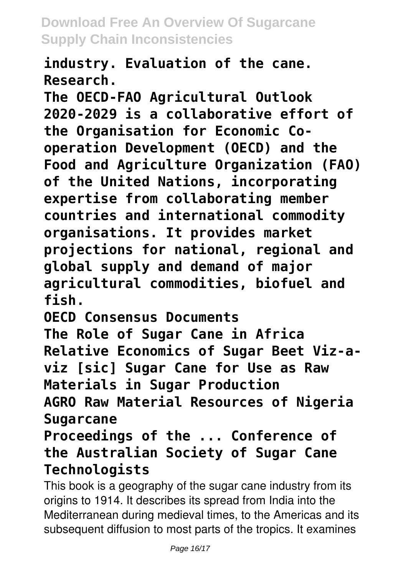**industry. Evaluation of the cane. Research.**

**The OECD-FAO Agricultural Outlook 2020-2029 is a collaborative effort of the Organisation for Economic Cooperation Development (OECD) and the Food and Agriculture Organization (FAO) of the United Nations, incorporating expertise from collaborating member countries and international commodity organisations. It provides market projections for national, regional and global supply and demand of major agricultural commodities, biofuel and fish.**

**OECD Consensus Documents**

**The Role of Sugar Cane in Africa Relative Economics of Sugar Beet Viz-aviz [sic] Sugar Cane for Use as Raw Materials in Sugar Production**

**AGRO Raw Material Resources of Nigeria Sugarcane**

**Proceedings of the ... Conference of the Australian Society of Sugar Cane Technologists**

This book is a geography of the sugar cane industry from its origins to 1914. It describes its spread from India into the Mediterranean during medieval times, to the Americas and its subsequent diffusion to most parts of the tropics. It examines